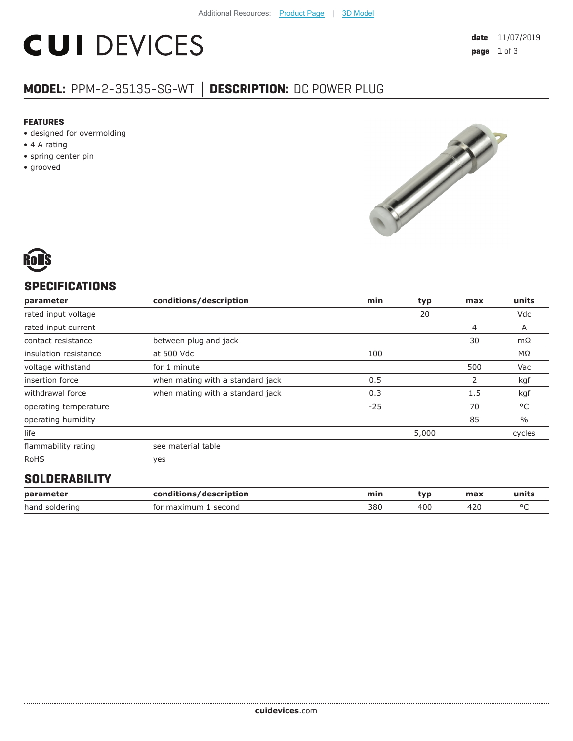# **CUI DEVICES**

# **MODEL:** PPM-2-35135-SG-WT **│ DESCRIPTION:** DC POWER PLUG

#### **FEATURES**

- designed for overmolding
- 4 A rating
- spring center pin
- grooved





## **SPECIFICATIONS**

| parameter             | conditions/description           | min   | typ   | max | units         |
|-----------------------|----------------------------------|-------|-------|-----|---------------|
| rated input voltage   |                                  |       | 20    |     | Vdc           |
| rated input current   |                                  |       |       | 4   | Α             |
| contact resistance    | between plug and jack            |       |       | 30  | $m\Omega$     |
| insulation resistance | at 500 Vdc                       | 100   |       |     | $M\Omega$     |
| voltage withstand     | for 1 minute                     |       |       | 500 | Vac           |
| insertion force       | when mating with a standard jack | 0.5   |       | 2   | kgf           |
| withdrawal force      | when mating with a standard jack | 0.3   |       | 1.5 | kgf           |
| operating temperature |                                  | $-25$ |       | 70  | °C            |
| operating humidity    |                                  |       |       | 85  | $\frac{0}{0}$ |
| life                  |                                  |       | 5,000 |     | cycles        |
| flammability rating   | see material table               |       |       |     |               |
| <b>RoHS</b>           | yes                              |       |       |     |               |
| AALBEBARILITY         |                                  |       |       |     |               |

#### **SOLDERABILITY**

| parameter      | conditions/description | mir. | tvr | max | units |
|----------------|------------------------|------|-----|-----|-------|
| hand soldering | for maximum<br>second  | 380  | 40C |     |       |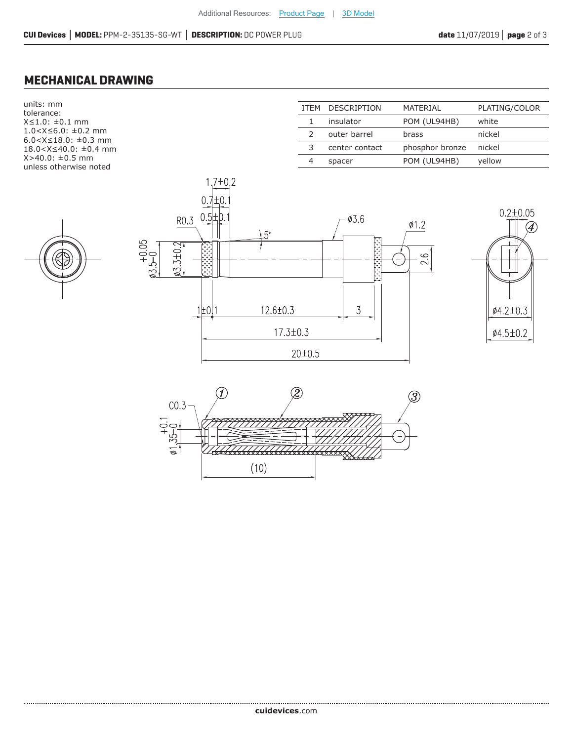### **MECHANICAL DRAWING**